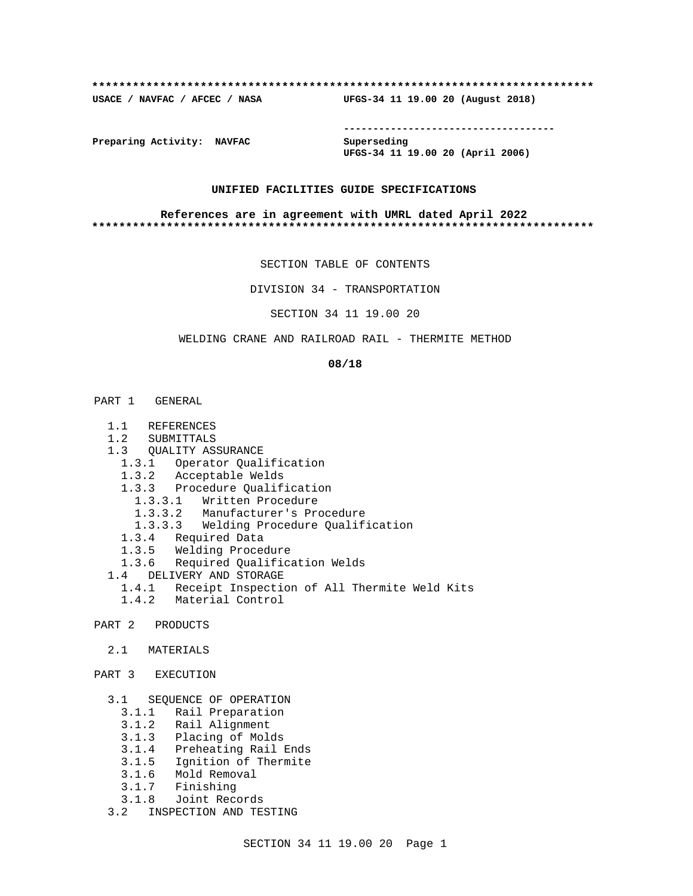#### **\*\*\*\*\*\*\*\*\*\*\*\*\*\*\*\*\*\*\*\*\*\*\*\*\*\*\*\*\*\*\*\*\*\*\*\*\*\*\*\*\*\*\*\*\*\*\*\*\*\*\*\*\*\*\*\*\*\*\*\*\*\*\*\*\*\*\*\*\*\*\*\*\*\***

**USACE / NAVFAC / AFCEC / NASA UFGS-34 11 19.00 20 (August 2018)**

**------------------------------------**

**Preparing Activity: NAVFAC Superseding**

**UFGS-34 11 19.00 20 (April 2006)**

### **UNIFIED FACILITIES GUIDE SPECIFICATIONS**

#### **References are in agreement with UMRL dated April 2022 \*\*\*\*\*\*\*\*\*\*\*\*\*\*\*\*\*\*\*\*\*\*\*\*\*\*\*\*\*\*\*\*\*\*\*\*\*\*\*\*\*\*\*\*\*\*\*\*\*\*\*\*\*\*\*\*\*\*\*\*\*\*\*\*\*\*\*\*\*\*\*\*\*\***

SECTION TABLE OF CONTENTS

DIVISION 34 - TRANSPORTATION

SECTION 34 11 19.00 20

# WELDING CRANE AND RAILROAD RAIL - THERMITE METHOD

#### **08/18**

- PART 1 GENERAL
	- 1.1 REFERENCES
	- 1.2 SUBMITTALS
	- 1.3 QUALITY ASSURANCE
	- 1.3.1 Operator Qualification
	- 1.3.2 Acceptable Welds
	- 1.3.3 Procedure Qualification
		- 1.3.3.1 Written Procedure
		- 1.3.3.2 Manufacturer's Procedure
		- 1.3.3.3 Welding Procedure Qualification
	- 1.3.4 Required Data
	- 1.3.5 Welding Procedure
	- 1.3.6 Required Qualification Welds
	- 1.4 DELIVERY AND STORAGE
		- 1.4.1 Receipt Inspection of All Thermite Weld Kits
		- 1.4.2 Material Control
- PART 2 PRODUCTS
	- 2.1 MATERIALS
- PART 3 EXECUTION
	- 3.1 SEQUENCE OF OPERATION
		- 3.1.1 Rail Preparation
		- 3.1.2 Rail Alignment
		- 3.1.3 Placing of Molds
		- 3.1.4 Preheating Rail Ends
		- 3.1.5 Ignition of Thermite
		- 3.1.6 Mold Removal
		- 3.1.7 Finishing
		- 3.1.8 Joint Records
	- 3.2 INSPECTION AND TESTING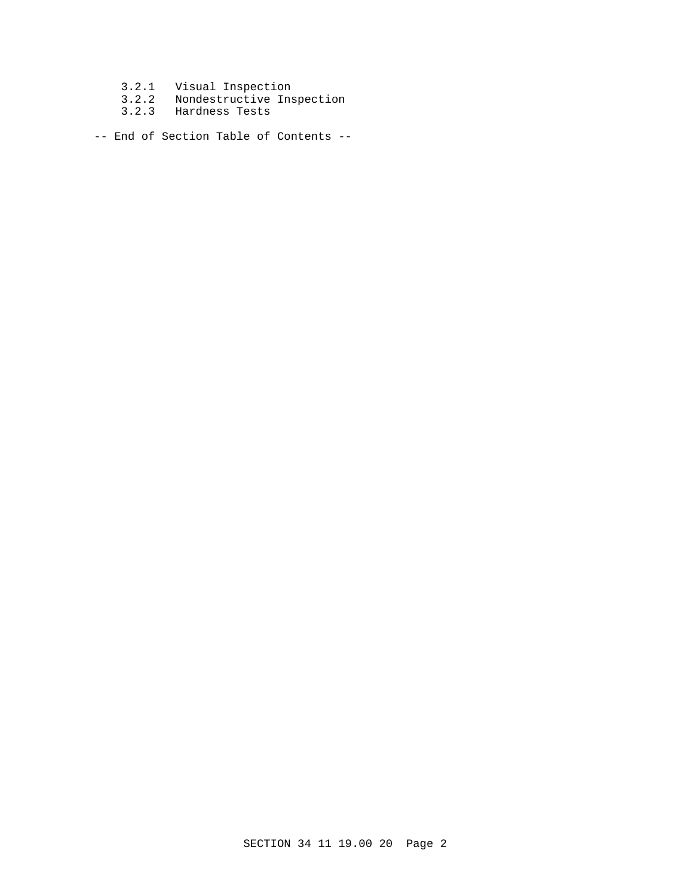- 3.2.1 Visual Inspection
- 3.2.2 Nondestructive Inspection
- 3.2.3 Hardness Tests

-- End of Section Table of Contents --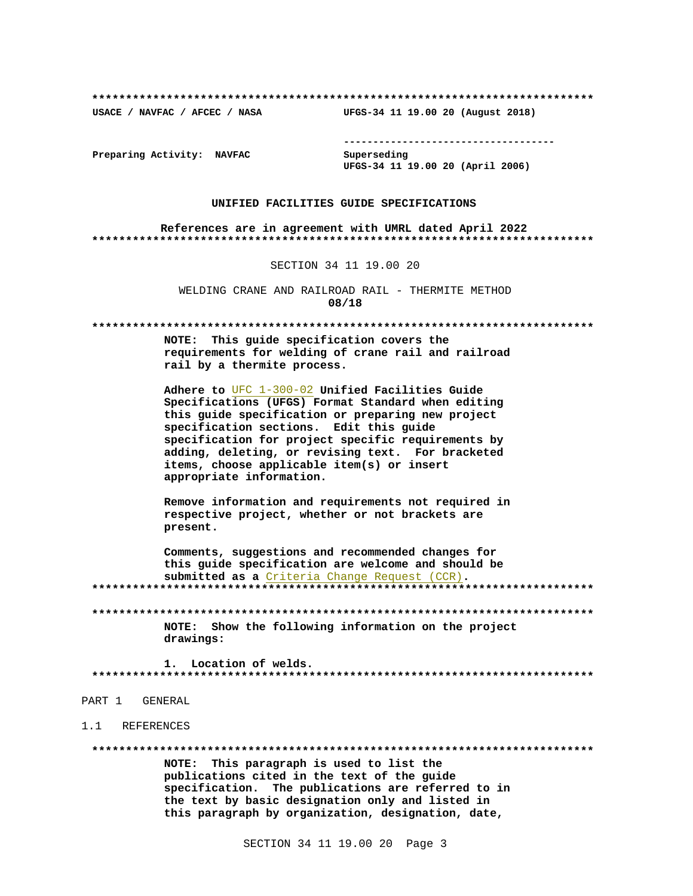USACE / NAVFAC / AFCEC / NASA

--------------------------------------

Preparing Activity: NAVFAC

Superseding UFGS-34 11 19.00 20 (April 2006)

UFGS-34 11 19.00 20 (August 2018)

#### UNIFIED FACILITIES GUIDE SPECIFICATIONS

References are in agreement with UMRL dated April 2022 

SECTION 34 11 19.00 20

WELDING CRANE AND RAILROAD RAIL - THERMITE METHOD 08/18

NOTE: This quide specification covers the requirements for welding of crane rail and railroad rail by a thermite process.

Adhere to UFC 1-300-02 Unified Facilities Guide Specifications (UFGS) Format Standard when editing this quide specification or preparing new project specification sections. Edit this guide specification for project specific requirements by adding, deleting, or revising text. For bracketed items, choose applicable item(s) or insert appropriate information.

Remove information and requirements not required in respective project, whether or not brackets are present.

Comments, suggestions and recommended changes for this quide specification are welcome and should be submitted as a Criteria Change Request (CCR). 

NOTE: Show the following information on the project drawings:

1. Location of welds. \*\*\*\*\*\*\*\*\*\*\*\*\*\*\*\*\*\*

- PART 1 GENERAL
- 1.1 REFERENCES

NOTE: This paragraph is used to list the publications cited in the text of the guide specification. The publications are referred to in the text by basic designation only and listed in this paragraph by organization, designation, date,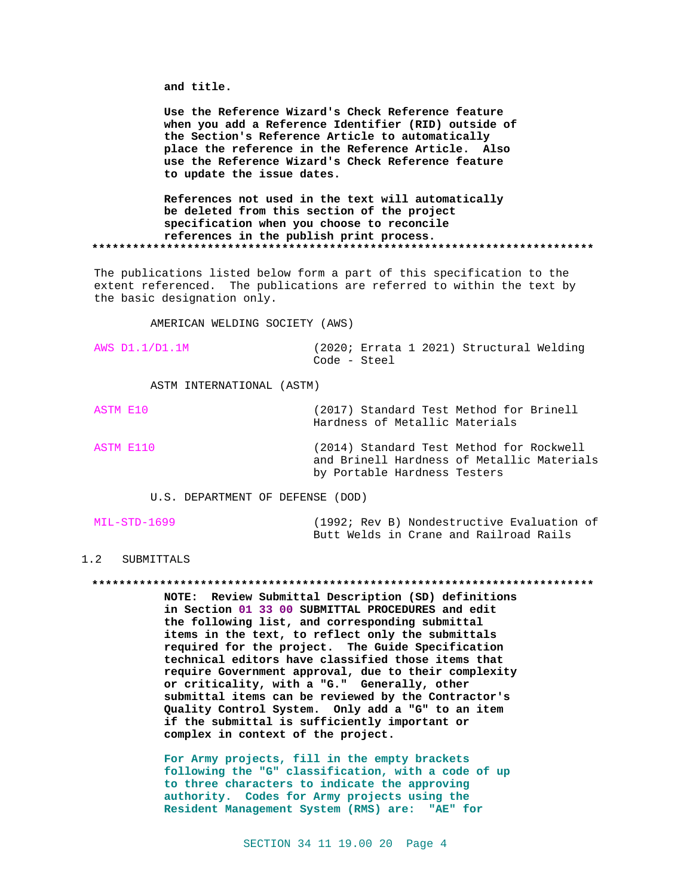and title.

Use the Reference Wizard's Check Reference feature when you add a Reference Identifier (RID) outside of the Section's Reference Article to automatically place the reference in the Reference Article. Also use the Reference Wizard's Check Reference feature to update the issue dates.

References not used in the text will automatically be deleted from this section of the project specification when you choose to reconcile references in the publish print process. 

The publications listed below form a part of this specification to the extent referenced. The publications are referred to within the text by the basic designation only.

AMERICAN WELDING SOCIETY (AWS)

| AWS D1.1/D1.1M |              |  | (2020; Errata 1 2021) Structural Welding |  |
|----------------|--------------|--|------------------------------------------|--|
|                | Code - Steel |  |                                          |  |

ASTM INTERNATIONAL (ASTM)

ASTM E10 (2017) Standard Test Method for Brinell Hardness of Metallic Materials ASTM E110 (2014) Standard Test Method for Rockwell and Brinell Hardness of Metallic Materials

U.S. DEPARTMENT OF DEFENSE (DOD)

| MIL-STD-1699 |  | (1992; Rev B) Nondestructive Evaluation of |  |  |
|--------------|--|--------------------------------------------|--|--|
|              |  | Butt Welds in Crane and Railroad Rails     |  |  |

by Portable Hardness Testers

# 1.2 SUBMITTALS

NOTE: Review Submittal Description (SD) definitions in Section 01 33 00 SUBMITTAL PROCEDURES and edit the following list, and corresponding submittal items in the text, to reflect only the submittals required for the project. The Guide Specification technical editors have classified those items that require Government approval, due to their complexity or criticality, with a "G." Generally, other submittal items can be reviewed by the Contractor's Quality Control System. Only add a "G" to an item if the submittal is sufficiently important or complex in context of the project.

For Army projects, fill in the empty brackets following the "G" classification, with a code of up to three characters to indicate the approving authority. Codes for Army projects using the Resident Management System (RMS) are: "AE" for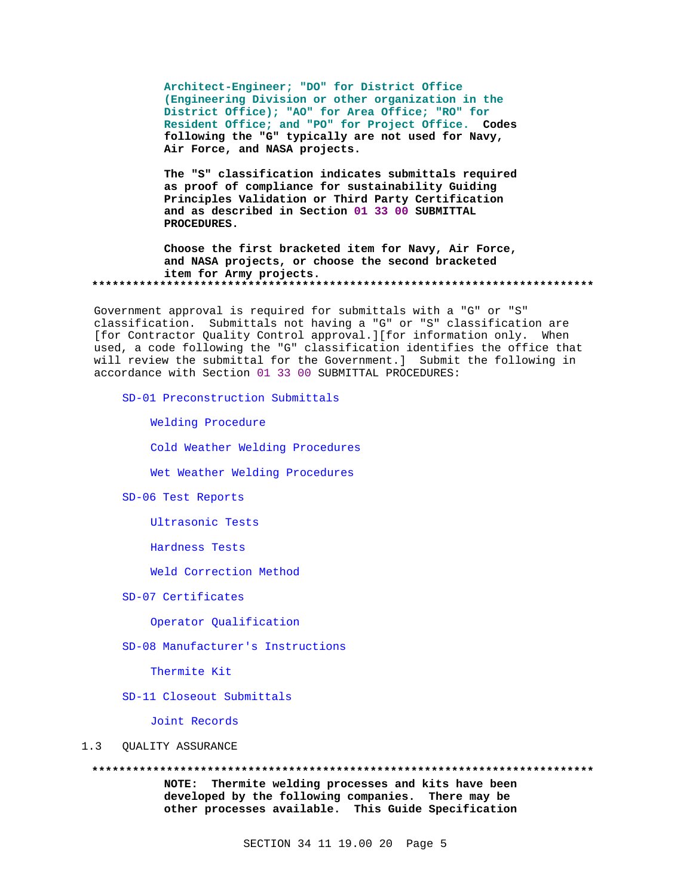Architect-Engineer; "DO" for District Office (Engineering Division or other organization in the District Office); "AO" for Area Office; "RO" for Resident Office; and "PO" for Project Office. Codes following the "G" typically are not used for Navy, Air Force, and NASA projects.

The "S" classification indicates submittals required as proof of compliance for sustainability Guiding Principles Validation or Third Party Certification and as described in Section 01 33 00 SUBMITTAL PROCEDURES.

Choose the first bracketed item for Navy, Air Force, and NASA projects, or choose the second bracketed item for Army projects. 

Government approval is required for submittals with a "G" or "S" classification. Submittals not having a "G" or "S" classification are [for Contractor Quality Control approval.][for information only. When used, a code following the "G" classification identifies the office that will review the submittal for the Government.] Submit the following in accordance with Section 01 33 00 SUBMITTAL PROCEDURES:

SD-01 Preconstruction Submittals

Welding Procedure

Cold Weather Welding Procedures

Wet Weather Welding Procedures

SD-06 Test Reports

Ultrasonic Tests

Hardness Tests

Weld Correction Method

SD-07 Certificates

Operator Qualification

SD-08 Manufacturer's Instructions

Thermite Kit

SD-11 Closeout Submittals

Joint Records

#### $1.3$ QUALITY ASSURANCE

NOTE: Thermite welding processes and kits have been developed by the following companies. There may be other processes available. This Guide Specification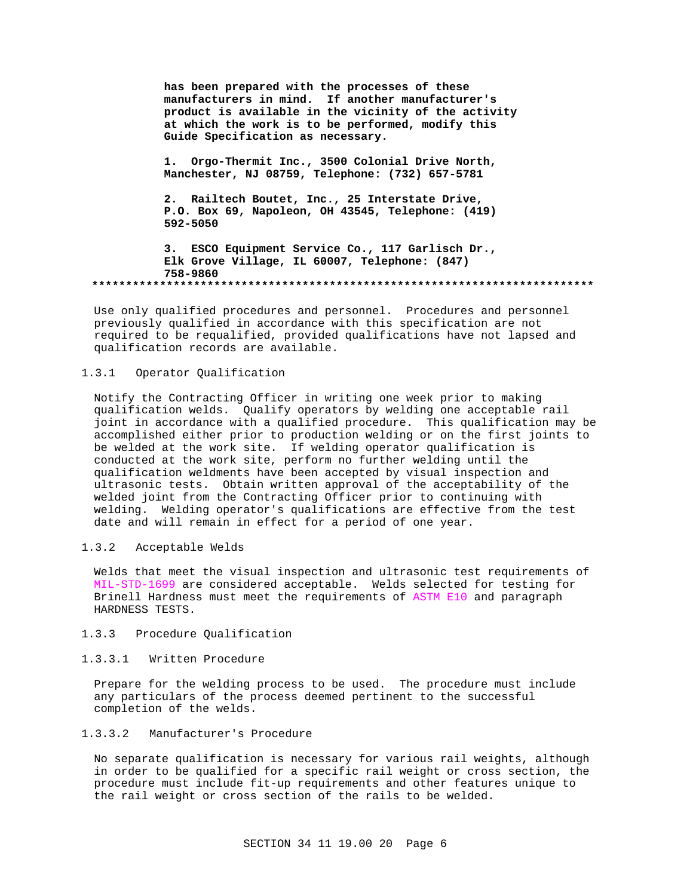**has been prepared with the processes of these manufacturers in mind. If another manufacturer's product is available in the vicinity of the activity at which the work is to be performed, modify this Guide Specification as necessary.**

**1. Orgo-Thermit Inc., 3500 Colonial Drive North, Manchester, NJ 08759, Telephone: (732) 657-5781**

**2. Railtech Boutet, Inc., 25 Interstate Drive, P.O. Box 69, Napoleon, OH 43545, Telephone: (419) 592-5050**

**3. ESCO Equipment Service Co., 117 Garlisch Dr., Elk Grove Village, IL 60007, Telephone: (847) 758-9860 \*\*\*\*\*\*\*\*\*\*\*\*\*\*\*\*\*\*\*\*\*\*\*\*\*\*\*\*\*\*\*\*\*\*\*\*\*\*\*\*\*\*\*\*\*\*\*\*\*\*\*\*\*\*\*\*\*\*\*\*\*\*\*\*\*\*\*\*\*\*\*\*\*\***

Use only qualified procedures and personnel. Procedures and personnel previously qualified in accordance with this specification are not required to be requalified, provided qualifications have not lapsed and qualification records are available.

# 1.3.1 Operator Qualification

Notify the Contracting Officer in writing one week prior to making qualification welds. Qualify operators by welding one acceptable rail joint in accordance with a qualified procedure. This qualification may be accomplished either prior to production welding or on the first joints to be welded at the work site. If welding operator qualification is conducted at the work site, perform no further welding until the qualification weldments have been accepted by visual inspection and ultrasonic tests. Obtain written approval of the acceptability of the welded joint from the Contracting Officer prior to continuing with welding. Welding operator's qualifications are effective from the test date and will remain in effect for a period of one year.

# 1.3.2 Acceptable Welds

Welds that meet the visual inspection and ultrasonic test requirements of MIL-STD-1699 are considered acceptable. Welds selected for testing for Brinell Hardness must meet the requirements of ASTM E10 and paragraph HARDNESS TESTS.

# 1.3.3 Procedure Qualification

#### 1.3.3.1 Written Procedure

Prepare for the welding process to be used. The procedure must include any particulars of the process deemed pertinent to the successful completion of the welds.

# 1.3.3.2 Manufacturer's Procedure

No separate qualification is necessary for various rail weights, although in order to be qualified for a specific rail weight or cross section, the procedure must include fit-up requirements and other features unique to the rail weight or cross section of the rails to be welded.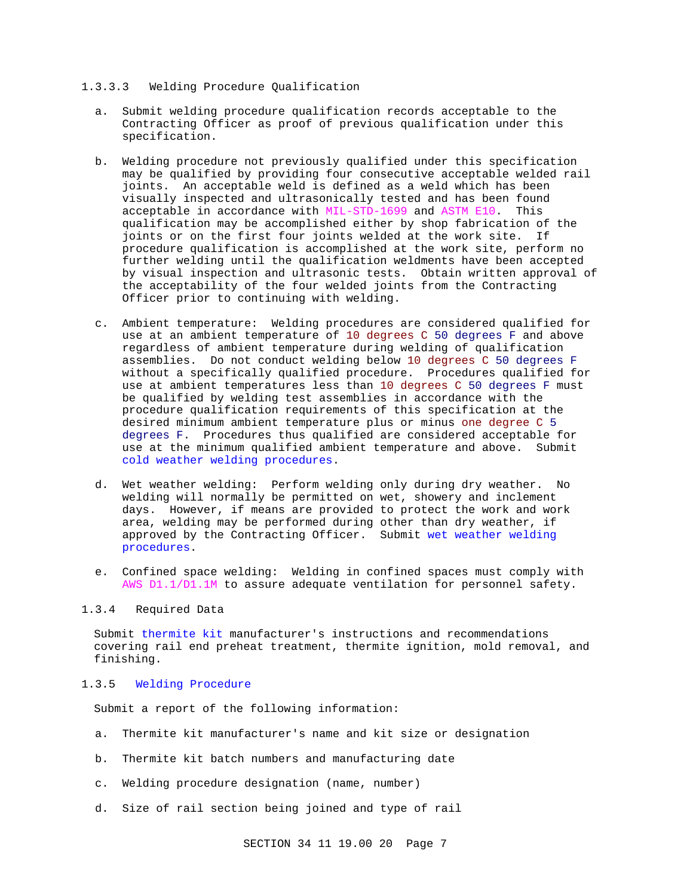#### 1.3.3.3 Welding Procedure Qualification

- a. Submit welding procedure qualification records acceptable to the Contracting Officer as proof of previous qualification under this specification.
- b. Welding procedure not previously qualified under this specification may be qualified by providing four consecutive acceptable welded rail joints. An acceptable weld is defined as a weld which has been visually inspected and ultrasonically tested and has been found acceptable in accordance with MIL-STD-1699 and ASTM E10. This qualification may be accomplished either by shop fabrication of the joints or on the first four joints welded at the work site. If procedure qualification is accomplished at the work site, perform no further welding until the qualification weldments have been accepted by visual inspection and ultrasonic tests. Obtain written approval of the acceptability of the four welded joints from the Contracting Officer prior to continuing with welding.
- c. Ambient temperature: Welding procedures are considered qualified for use at an ambient temperature of 10 degrees C 50 degrees F and above regardless of ambient temperature during welding of qualification assemblies. Do not conduct welding below 10 degrees C 50 degrees F without a specifically qualified procedure. Procedures qualified for use at ambient temperatures less than 10 degrees C 50 degrees F must be qualified by welding test assemblies in accordance with the procedure qualification requirements of this specification at the desired minimum ambient temperature plus or minus one degree C 5 degrees F. Procedures thus qualified are considered acceptable for use at the minimum qualified ambient temperature and above. Submit cold weather welding procedures.
- d. Wet weather welding: Perform welding only during dry weather. No welding will normally be permitted on wet, showery and inclement days. However, if means are provided to protect the work and work area, welding may be performed during other than dry weather, if approved by the Contracting Officer. Submit wet weather welding procedures.
- e. Confined space welding: Welding in confined spaces must comply with AWS D1.1/D1.1M to assure adequate ventilation for personnel safety.

# 1.3.4 Required Data

Submit thermite kit manufacturer's instructions and recommendations covering rail end preheat treatment, thermite ignition, mold removal, and finishing.

# 1.3.5 Welding Procedure

Submit a report of the following information:

- a. Thermite kit manufacturer's name and kit size or designation
- b. Thermite kit batch numbers and manufacturing date
- c. Welding procedure designation (name, number)
- d. Size of rail section being joined and type of rail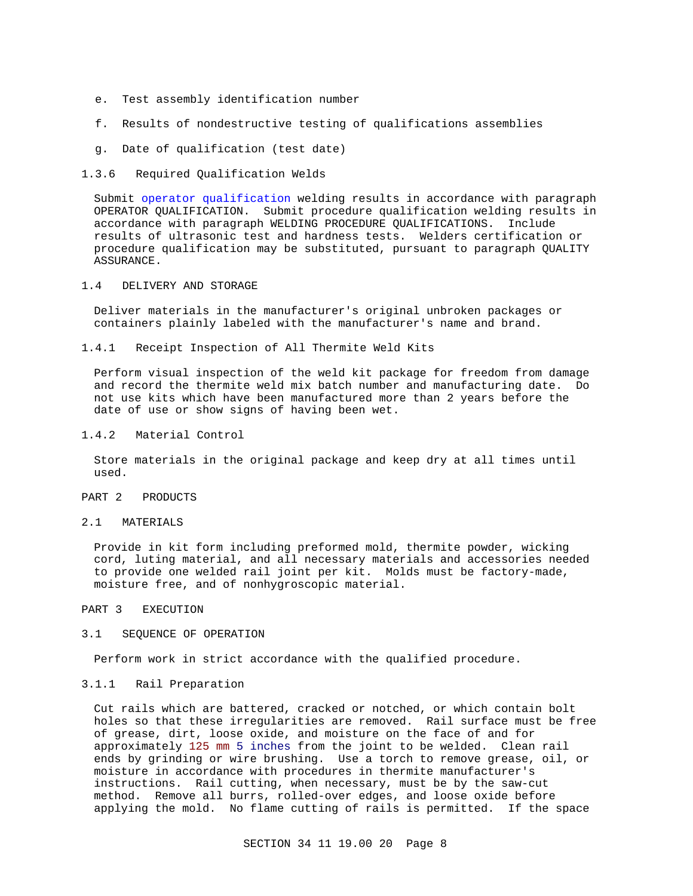- e. Test assembly identification number
- f. Results of nondestructive testing of qualifications assemblies
- g. Date of qualification (test date)
- 1.3.6 Required Qualification Welds

Submit operator qualification welding results in accordance with paragraph OPERATOR QUALIFICATION. Submit procedure qualification welding results in accordance with paragraph WELDING PROCEDURE QUALIFICATIONS. Include results of ultrasonic test and hardness tests. Welders certification or procedure qualification may be substituted, pursuant to paragraph QUALITY ASSURANCE.

1.4 DELIVERY AND STORAGE

Deliver materials in the manufacturer's original unbroken packages or containers plainly labeled with the manufacturer's name and brand.

1.4.1 Receipt Inspection of All Thermite Weld Kits

Perform visual inspection of the weld kit package for freedom from damage and record the thermite weld mix batch number and manufacturing date. Do not use kits which have been manufactured more than 2 years before the date of use or show signs of having been wet.

1.4.2 Material Control

Store materials in the original package and keep dry at all times until used.

# PART 2 PRODUCTS

2.1 MATERIALS

Provide in kit form including preformed mold, thermite powder, wicking cord, luting material, and all necessary materials and accessories needed to provide one welded rail joint per kit. Molds must be factory-made, moisture free, and of nonhygroscopic material.

PART 3 EXECUTION

#### 3.1 SEQUENCE OF OPERATION

Perform work in strict accordance with the qualified procedure.

3.1.1 Rail Preparation

Cut rails which are battered, cracked or notched, or which contain bolt holes so that these irregularities are removed. Rail surface must be free of grease, dirt, loose oxide, and moisture on the face of and for approximately 125 mm 5 inches from the joint to be welded. Clean rail ends by grinding or wire brushing. Use a torch to remove grease, oil, or moisture in accordance with procedures in thermite manufacturer's instructions. Rail cutting, when necessary, must be by the saw-cut method. Remove all burrs, rolled-over edges, and loose oxide before applying the mold. No flame cutting of rails is permitted. If the space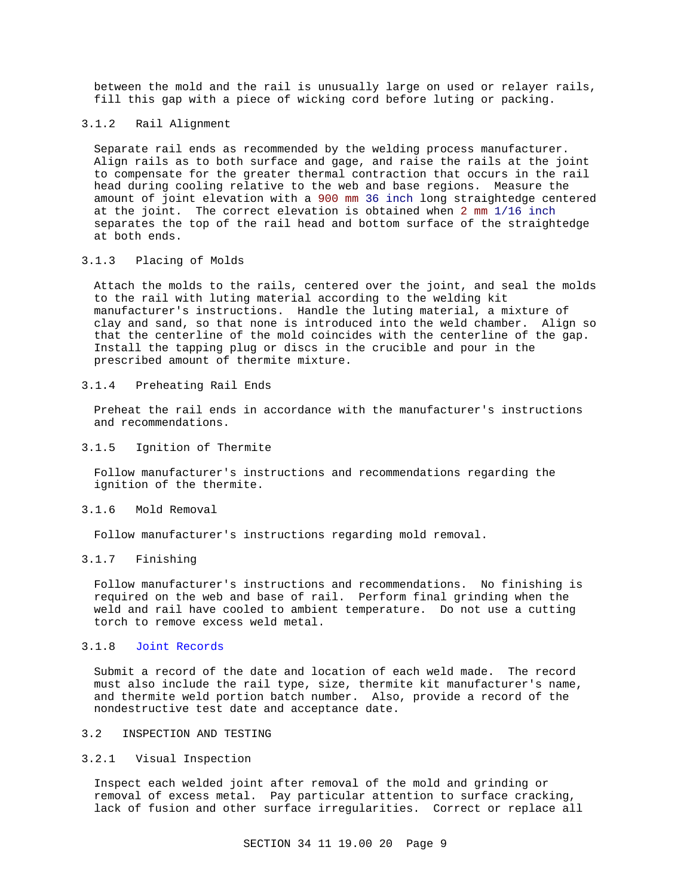between the mold and the rail is unusually large on used or relayer rails, fill this gap with a piece of wicking cord before luting or packing.

### 3.1.2 Rail Alignment

Separate rail ends as recommended by the welding process manufacturer. Align rails as to both surface and gage, and raise the rails at the joint to compensate for the greater thermal contraction that occurs in the rail head during cooling relative to the web and base regions. Measure the amount of joint elevation with a 900 mm 36 inch long straightedge centered at the joint. The correct elevation is obtained when 2 mm 1/16 inch separates the top of the rail head and bottom surface of the straightedge at both ends.

# 3.1.3 Placing of Molds

Attach the molds to the rails, centered over the joint, and seal the molds to the rail with luting material according to the welding kit manufacturer's instructions. Handle the luting material, a mixture of clay and sand, so that none is introduced into the weld chamber. Align so that the centerline of the mold coincides with the centerline of the gap. Install the tapping plug or discs in the crucible and pour in the prescribed amount of thermite mixture.

## 3.1.4 Preheating Rail Ends

Preheat the rail ends in accordance with the manufacturer's instructions and recommendations.

## 3.1.5 Ignition of Thermite

Follow manufacturer's instructions and recommendations regarding the ignition of the thermite.

# 3.1.6 Mold Removal

Follow manufacturer's instructions regarding mold removal.

# 3.1.7 Finishing

Follow manufacturer's instructions and recommendations. No finishing is required on the web and base of rail. Perform final grinding when the weld and rail have cooled to ambient temperature. Do not use a cutting torch to remove excess weld metal.

# 3.1.8 Joint Records

Submit a record of the date and location of each weld made. The record must also include the rail type, size, thermite kit manufacturer's name, and thermite weld portion batch number. Also, provide a record of the nondestructive test date and acceptance date.

#### 3.2 INSPECTION AND TESTING

# 3.2.1 Visual Inspection

Inspect each welded joint after removal of the mold and grinding or removal of excess metal. Pay particular attention to surface cracking, lack of fusion and other surface irregularities. Correct or replace all